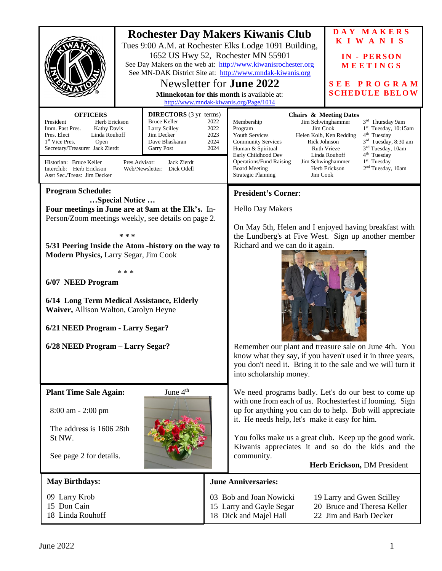|                                                                                                                                                                                                                                                                                                                                                                                                                                                                                   |                                      | DAY MAKERS<br><b>Rochester Day Makers Kiwanis Club</b><br><b>KIWANIS</b><br>Tues 9:00 A.M. at Rochester Elks Lodge 1091 Building,<br>1652 US Hwy 52, Rochester MN 55901<br><b>IN - PERSON</b><br>See Day Makers on the web at: http://www.kiwanisrochester.org<br>MEETINGS<br>See MN-DAK District Site at: http://www.mndak-kiwanis.org<br>Newsletter for <b>June 2022</b><br>SEE PROGRAM<br><b>SCHEDULE BELOW</b><br>Minnekotan for this month is available at:<br>http://www.mndak-kiwanis.org/Page/1014                                                                                                                                             |  |
|-----------------------------------------------------------------------------------------------------------------------------------------------------------------------------------------------------------------------------------------------------------------------------------------------------------------------------------------------------------------------------------------------------------------------------------------------------------------------------------|--------------------------------------|--------------------------------------------------------------------------------------------------------------------------------------------------------------------------------------------------------------------------------------------------------------------------------------------------------------------------------------------------------------------------------------------------------------------------------------------------------------------------------------------------------------------------------------------------------------------------------------------------------------------------------------------------------|--|
| <b>OFFICERS</b><br><b>DIRECTORS</b> (3 yr terms)<br><b>Bruce Keller</b><br>President<br>Herb Erickson<br>Imm. Past Pres.<br><b>Kathy Davis</b><br><b>Larry Scilley</b><br>Jim Decker<br>Pres. Elect<br>Linda Rouhoff<br>1 <sup>st</sup> Vice Pres.<br>Open<br>Dave Bhaskaran<br>Secretary/Treasurer Jack Zierdt<br>Garry Post<br>Jack Zierdt<br>Historian: Bruce Keller<br>Pres.Advisor:<br>Interclub: Herb Erickson<br>Web/Newsletter: Dick Odell<br>Asst Sec./Treas: Jim Decker | 2022<br>2022<br>2023<br>2024<br>2024 | <b>Chairs &amp; Meeting Dates</b><br>3rd Thursday 9am<br>Membership<br>Jim Schwinghammer<br>$1st$ Tuesday, 10:15am<br>Program<br>Jim Cook<br>Youth Services<br>4 <sup>th</sup> Tuesday<br>Helen Kolb, Ken Redding<br>3 <sup>rd</sup> Tuesday, 8:30 am<br><b>Community Services</b><br>Rick Johnson<br>3 <sup>nd</sup> Tuesday, 10am<br>Human & Spiritual<br><b>Ruth Vrieze</b><br>4 <sup>th</sup> Tuesday<br>Early Childhood Dev<br>Linda Rouhoff<br><b>Operations/Fund Raising</b><br>1 <sup>st</sup> Tuesday<br>Jim Schwinghammer<br>2 <sup>nd</sup> Tuesday, 10am<br><b>Board Meeting</b><br>Herb Erickson<br><b>Strategic Planning</b><br>Jim Cook |  |
| <b>Program Schedule:</b>                                                                                                                                                                                                                                                                                                                                                                                                                                                          |                                      | <b>President's Corner:</b>                                                                                                                                                                                                                                                                                                                                                                                                                                                                                                                                                                                                                             |  |
| Special Notice<br>Four meetings in June are at 9am at the Elk's. In-<br>Person/Zoom meetings weekly, see details on page 2.<br>* * *<br>5/31 Peering Inside the Atom - history on the way to<br><b>Modern Physics, Larry Segar, Jim Cook</b><br>* * *<br>6/07 NEED Program<br>6/14 Long Term Medical Assistance, Elderly<br>Waiver, Allison Walton, Carolyn Heyne<br>6/21 NEED Program - Larry Segar?<br>6/28 NEED Program - Larry Segar?                                         |                                      | <b>Hello Day Makers</b><br>On May 5th, Helen and I enjoyed having breakfast with<br>the Lundberg's at Five West. Sign up another member<br>Richard and we can do it again.<br>Remember our plant and treasure sale on June 4th. You<br>know what they say, if you haven't used it in three years,<br>you don't need it. Bring it to the sale and we will turn it<br>into scholarship money.                                                                                                                                                                                                                                                            |  |
| June 4 <sup>th</sup><br><b>Plant Time Sale Again:</b><br>8:00 am - 2:00 pm<br>The address is 1606 28th<br>St NW.<br>See page 2 for details.                                                                                                                                                                                                                                                                                                                                       |                                      | We need programs badly. Let's do our best to come up<br>with one from each of us. Rochesterfest if looming. Sign<br>up for anything you can do to help. Bob will appreciate<br>it. He needs help, let's make it easy for him.<br>You folks make us a great club. Keep up the good work.<br>Kiwanis appreciates it and so do the kids and the<br>community.<br>Herb Erickson, DM President                                                                                                                                                                                                                                                              |  |
|                                                                                                                                                                                                                                                                                                                                                                                                                                                                                   |                                      |                                                                                                                                                                                                                                                                                                                                                                                                                                                                                                                                                                                                                                                        |  |
| <b>May Birthdays:</b><br>09 Larry Krob<br>15 Don Cain<br>18 Linda Rouhoff                                                                                                                                                                                                                                                                                                                                                                                                         |                                      | <b>June Anniversaries:</b><br>03 Bob and Joan Nowicki<br>19 Larry and Gwen Scilley<br>20 Bruce and Theresa Keller<br>15 Larry and Gayle Segar<br>18 Dick and Majel Hall<br>22 Jim and Barb Decker                                                                                                                                                                                                                                                                                                                                                                                                                                                      |  |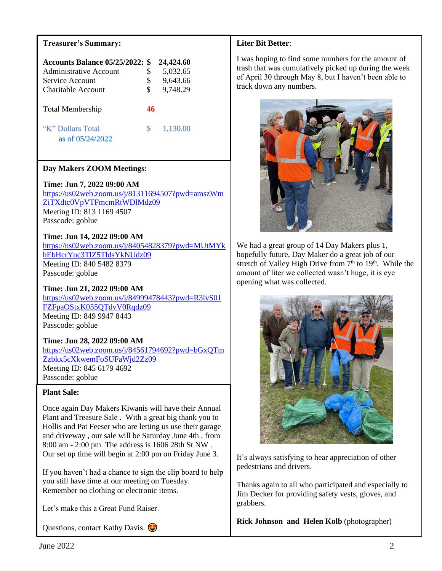### **Treasurer's Summary:**

| <b>Accounts Balance 05/25/2022: \$</b><br>Administrative Account<br>Service Account<br>Charitable Account | S<br>\$<br>\$ | 24,424.60<br>5,032.65<br>9,643.66<br>9,748.29 |
|-----------------------------------------------------------------------------------------------------------|---------------|-----------------------------------------------|
| <b>Total Membership</b>                                                                                   | 46            |                                               |
| "K" Dollars Total<br>as of 05/24/2022                                                                     | SS.           | 1,130.00                                      |

### **Day Makers ZOOM Meetings:**

#### **Time: Jun 7, 2022 09:00 AM**

[https://us02web.zoom.us/j/81311694507?pwd=amszWm](https://us02web.zoom.us/j/81311694507?pwd=amszWmZiTXdtc0VpVTFmcmRtWDlMdz09) [ZiTXdtc0VpVTFmcmRtWDlMdz09](https://us02web.zoom.us/j/81311694507?pwd=amszWmZiTXdtc0VpVTFmcmRtWDlMdz09) Meeting ID: 813 1169 4507 Passcode: goblue

#### **Time: Jun 14, 2022 09:00 AM**

[https://us02web.zoom.us/j/84054828379?pwd=MUtMYk](https://us02web.zoom.us/j/84054828379?pwd=MUtMYkhEbHcrYnc3TlZ5TldsYkNUdz09) [hEbHcrYnc3TlZ5TldsYkNUdz09](https://us02web.zoom.us/j/84054828379?pwd=MUtMYkhEbHcrYnc3TlZ5TldsYkNUdz09) Meeting ID: 840 5482 8379 Passcode: goblue

**Time: Jun 21, 2022 09:00 AM** [https://us02web.zoom.us/j/84999478443?pwd=R3lvS01](https://us02web.zoom.us/j/84999478443?pwd=R3lvS01FZFpaOStxK055QTdvV0Rqdz09) [FZFpaOStxK055QTdvV0Rqdz09](https://us02web.zoom.us/j/84999478443?pwd=R3lvS01FZFpaOStxK055QTdvV0Rqdz09) Meeting ID: 849 9947 8443 Passcode: goblue

#### **Time: Jun 28, 2022 09:00 AM**

[https://us02web.zoom.us/j/84561794692?pwd=bGxQTm](https://us02web.zoom.us/j/84561794692?pwd=bGxQTmZzbkx5cXkwemFoSUFaWjd2Zz09) [Zzbkx5cXkwemFoSUFaWjd2Zz09](https://us02web.zoom.us/j/84561794692?pwd=bGxQTmZzbkx5cXkwemFoSUFaWjd2Zz09) Meeting ID: 845 6179 4692 Passcode: goblue

#### **Plant Sale:**

Once again Day Makers Kiwanis will have their Annual Plant and Treasure Sale . With a great big thank you to Hollis and Pat Feeser who are letting us use their garage and driveway , our sale will be Saturday June 4th , from 8:00 am - 2:00 pm The address is 1606 28th St NW . Our set up time will begin at 2:00 pm on Friday June 3.

If you haven't had a chance to sign the clip board to help you still have time at our meeting on Tuesday. Remember no clothing or electronic items.

Let's make this a Great Fund Raiser.

Questions, contact Kathy Davis.

#### **Liter Bit Better**:

I was hoping to find some numbers for the amount of trash that was cumulatively picked up during the week of April 30 through May 8, but I haven't been able to track down any numbers.



We had a great group of 14 Day Makers plus 1, hopefully future, Day Maker do a great job of our stretch of Valley High Drive from  $7<sup>th</sup>$  to  $19<sup>th</sup>$ . While the amount of liter we collected wasn't huge, it is eye opening what was collected.



It's always satisfying to hear appreciation of other pedestrians and drivers.

Thanks again to all who participated and especially to Jim Decker for providing safety vests, gloves, and grabbers.

**Rick Johnson and Helen Kolb** (photographer)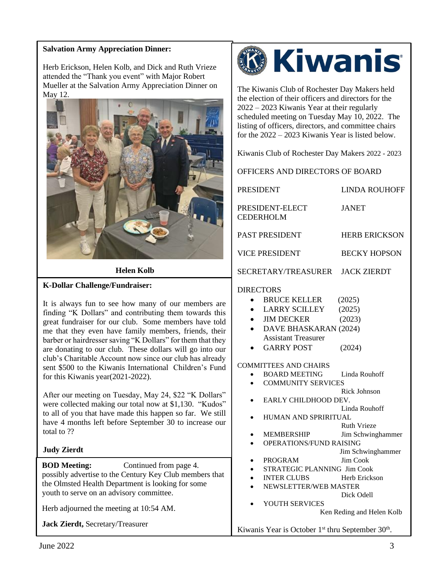### **Salvation Army Appreciation Dinner:**

Herb Erickson, Helen Kolb, and Dick and Ruth Vrieze attended the "Thank you event" with Major Robert Mueller at the Salvation Army Appreciation Dinner on May 12.



**Helen Kolb**

### **K-Dollar Challenge/Fundraiser:**

It is always fun to see how many of our members are finding "K Dollars" and contributing them towards this great fundraiser for our club. Some members have told me that they even have family members, friends, their barber or hairdresser saving "K Dollars" for them that they are donating to our club. These dollars will go into our club's Charitable Account now since our club has already sent \$500 to the Kiwanis International Children's Fund for this Kiwanis year(2021-2022).

After our meeting on Tuesday, May 24, \$22 "K Dollars" were collected making our total now at \$1,130. "Kudos" to all of you that have made this happen so far. We still have 4 months left before September 30 to increase our total to ??

### **Judy Zierdt**

**BOD Meeting:** Continued from page 4. possibly advertise to the Century Key Club members that the Olmsted Health Department is looking for some youth to serve on an advisory committee.

Herb adjourned the meeting at 10:54 AM.

**Jack Zierdt,** Secretary/Treasurer



The Kiwanis Club of Rochester Day Makers held the election of their officers and directors for the 2022 – 2023 Kiwanis Year at their regularly scheduled meeting on Tuesday May 10, 2022. The listing of officers, directors, and committee chairs for the 2022 – 2023 Kiwanis Year is listed below.

Kiwanis Club of Rochester Day Makers 2022 - 2023

OFFICERS AND DIRECTORS OF BOARD

|                                                                           | <b>PRESIDENT</b>                            | <b>LINDA ROUHOFF</b> |  |  |  |  |
|---------------------------------------------------------------------------|---------------------------------------------|----------------------|--|--|--|--|
|                                                                           | PRESIDENT-ELECT<br><b>CEDERHOLM</b>         | <b>JANET</b>         |  |  |  |  |
|                                                                           | <b>PAST PRESIDENT</b>                       | <b>HERB ERICKSON</b> |  |  |  |  |
|                                                                           | <b>VICE PRESIDENT</b>                       | <b>BECKY HOPSON</b>  |  |  |  |  |
|                                                                           | SECRETARY/TREASURER JACK ZIERDT             |                      |  |  |  |  |
|                                                                           | <b>DIRECTORS</b>                            |                      |  |  |  |  |
|                                                                           | <b>BRUCE KELLER</b>                         | (2025)               |  |  |  |  |
|                                                                           | LARRY SCILLEY (2025)                        |                      |  |  |  |  |
|                                                                           | $\bullet$ JIM DECKER                        | (2023)               |  |  |  |  |
|                                                                           | DAVE BHASKARAN (2024)                       |                      |  |  |  |  |
|                                                                           | <b>Assistant Treasurer</b>                  |                      |  |  |  |  |
|                                                                           | <b>GARRY POST</b>                           | (2024)               |  |  |  |  |
|                                                                           | <b>COMMITTEES AND CHAIRS</b>                |                      |  |  |  |  |
|                                                                           | BOARD MEETING Linda Rouhoff                 |                      |  |  |  |  |
|                                                                           | <b>COMMUNITY SERVICES</b>                   |                      |  |  |  |  |
|                                                                           |                                             | Rick Johnson         |  |  |  |  |
|                                                                           | EARLY CHILDHOOD DEV.                        |                      |  |  |  |  |
|                                                                           | Linda Rouhoff<br>HUMAN AND SPRIRITUAL       |                      |  |  |  |  |
|                                                                           |                                             | <b>Ruth Vrieze</b>   |  |  |  |  |
|                                                                           | MEMBERSHIP                                  | Jim Schwinghammer    |  |  |  |  |
|                                                                           | OPERATIONS/FUND RAISING                     |                      |  |  |  |  |
|                                                                           |                                             | Jim Schwinghammer    |  |  |  |  |
|                                                                           | PROGRAM                                     | <b>Jim Cook</b>      |  |  |  |  |
|                                                                           | STRATEGIC PLANNING Jim Cook                 |                      |  |  |  |  |
|                                                                           | <b>INTER CLUBS</b><br>NEWSLETTER/WEB MASTER | Herb Erickson        |  |  |  |  |
|                                                                           |                                             | Dick Odell           |  |  |  |  |
|                                                                           | YOUTH SERVICES                              |                      |  |  |  |  |
|                                                                           | Ken Reding and Helen Kolb                   |                      |  |  |  |  |
| Kiwanis Year is October 1 <sup>st</sup> thru September 30 <sup>th</sup> . |                                             |                      |  |  |  |  |
|                                                                           |                                             |                      |  |  |  |  |